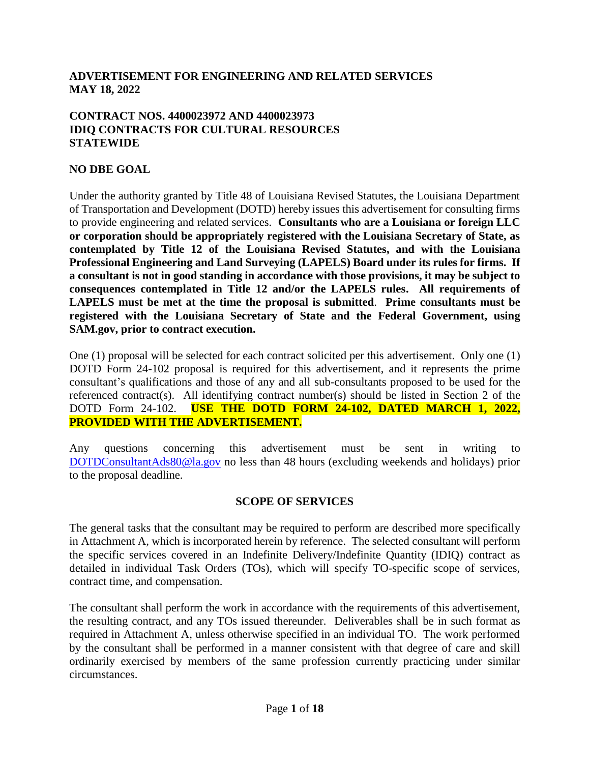## **ADVERTISEMENT FOR ENGINEERING AND RELATED SERVICES MAY 18, 2022**

### **CONTRACT NOS. 4400023972 AND 4400023973 IDIQ CONTRACTS FOR CULTURAL RESOURCES STATEWIDE**

## **NO DBE GOAL**

Under the authority granted by Title 48 of Louisiana Revised Statutes, the Louisiana Department of Transportation and Development (DOTD) hereby issues this advertisement for consulting firms to provide engineering and related services. **Consultants who are a Louisiana or foreign LLC or corporation should be appropriately registered with the Louisiana Secretary of State, as contemplated by Title 12 of the Louisiana Revised Statutes, and with the Louisiana Professional Engineering and Land Surveying (LAPELS) Board under its rules for firms. If a consultant is not in good standing in accordance with those provisions, it may be subject to consequences contemplated in Title 12 and/or the LAPELS rules. All requirements of LAPELS must be met at the time the proposal is submitted**. **Prime consultants must be registered with the Louisiana Secretary of State and the Federal Government, using SAM.gov, prior to contract execution.** 

One (1) proposal will be selected for each contract solicited per this advertisement. Only one (1) DOTD Form 24-102 proposal is required for this advertisement, and it represents the prime consultant's qualifications and those of any and all sub-consultants proposed to be used for the referenced contract(s). All identifying contract number(s) should be listed in Section 2 of the DOTD Form 24-102. **USE THE DOTD FORM 24-102, DATED MARCH 1, 2022, PROVIDED WITH THE ADVERTISEMENT.**

Any questions concerning this advertisement must be sent in writing to [DOTDConsultantAds80@la.gov](mailto:DOTDConsultantAds80@la.gov) no less than 48 hours (excluding weekends and holidays) prior to the proposal deadline.

### **SCOPE OF SERVICES**

The general tasks that the consultant may be required to perform are described more specifically in Attachment A, which is incorporated herein by reference. The selected consultant will perform the specific services covered in an Indefinite Delivery/Indefinite Quantity (IDIQ) contract as detailed in individual Task Orders (TOs), which will specify TO-specific scope of services, contract time, and compensation.

The consultant shall perform the work in accordance with the requirements of this advertisement, the resulting contract, and any TOs issued thereunder. Deliverables shall be in such format as required in Attachment A, unless otherwise specified in an individual TO. The work performed by the consultant shall be performed in a manner consistent with that degree of care and skill ordinarily exercised by members of the same profession currently practicing under similar circumstances.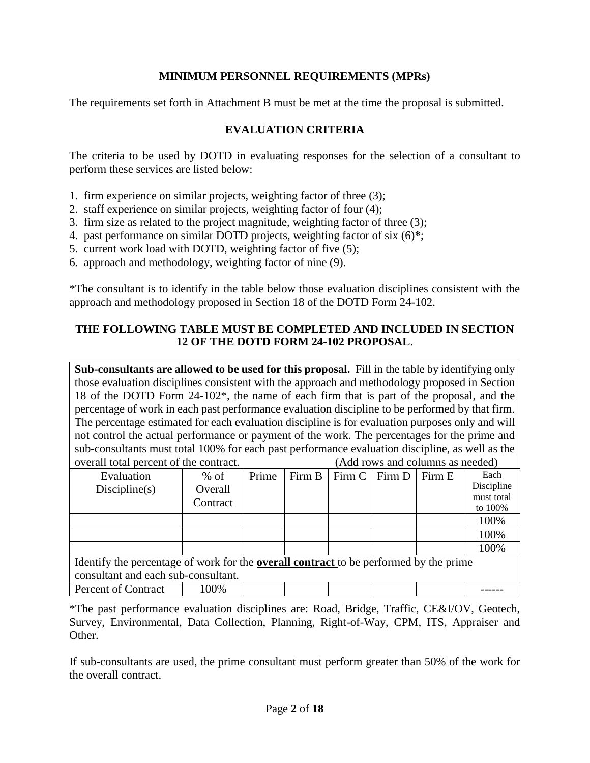## **MINIMUM PERSONNEL REQUIREMENTS (MPRs)**

The requirements set forth in Attachment B must be met at the time the proposal is submitted.

## **EVALUATION CRITERIA**

The criteria to be used by DOTD in evaluating responses for the selection of a consultant to perform these services are listed below:

- 1. firm experience on similar projects, weighting factor of three (3);
- 2. staff experience on similar projects, weighting factor of four (4);
- 3. firm size as related to the project magnitude, weighting factor of three (3);
- 4. past performance on similar DOTD projects, weighting factor of six (6)**\***;
- 5. current work load with DOTD, weighting factor of five (5);
- 6. approach and methodology, weighting factor of nine (9).

\*The consultant is to identify in the table below those evaluation disciplines consistent with the approach and methodology proposed in Section 18 of the DOTD Form 24-102.

### **THE FOLLOWING TABLE MUST BE COMPLETED AND INCLUDED IN SECTION 12 OF THE DOTD FORM 24-102 PROPOSAL**.

**Sub-consultants are allowed to be used for this proposal.** Fill in the table by identifying only those evaluation disciplines consistent with the approach and methodology proposed in Section 18 of the DOTD Form 24-102\*, the name of each firm that is part of the proposal, and the percentage of work in each past performance evaluation discipline to be performed by that firm. The percentage estimated for each evaluation discipline is for evaluation purposes only and will not control the actual performance or payment of the work. The percentages for the prime and sub-consultants must total 100% for each past performance evaluation discipline, as well as the overall total percent of the contract. (Add rows and columns as needed)

| Evaluation                                                                                   | $%$ of   | Prime |  | Firm B   Firm C   Firm D |  | Firm E | Each       |
|----------------------------------------------------------------------------------------------|----------|-------|--|--------------------------|--|--------|------------|
| Discpline(s)                                                                                 | Overall  |       |  |                          |  |        | Discipline |
|                                                                                              |          |       |  |                          |  |        | must total |
|                                                                                              | Contract |       |  |                          |  |        | to 100%    |
|                                                                                              |          |       |  |                          |  |        |            |
|                                                                                              |          |       |  |                          |  |        | 100%       |
|                                                                                              |          |       |  |                          |  |        | 100%       |
|                                                                                              |          |       |  |                          |  |        | 100%       |
| Identify the percentage of work for the <b>overall contract</b> to be performed by the prime |          |       |  |                          |  |        |            |
| consultant and each sub-consultant.                                                          |          |       |  |                          |  |        |            |
| Percent of Contract                                                                          | 100%     |       |  |                          |  |        |            |

\*The past performance evaluation disciplines are: Road, Bridge, Traffic, CE&I/OV, Geotech, Survey, Environmental, Data Collection, Planning, Right-of-Way, CPM, ITS, Appraiser and Other.

If sub-consultants are used, the prime consultant must perform greater than 50% of the work for the overall contract.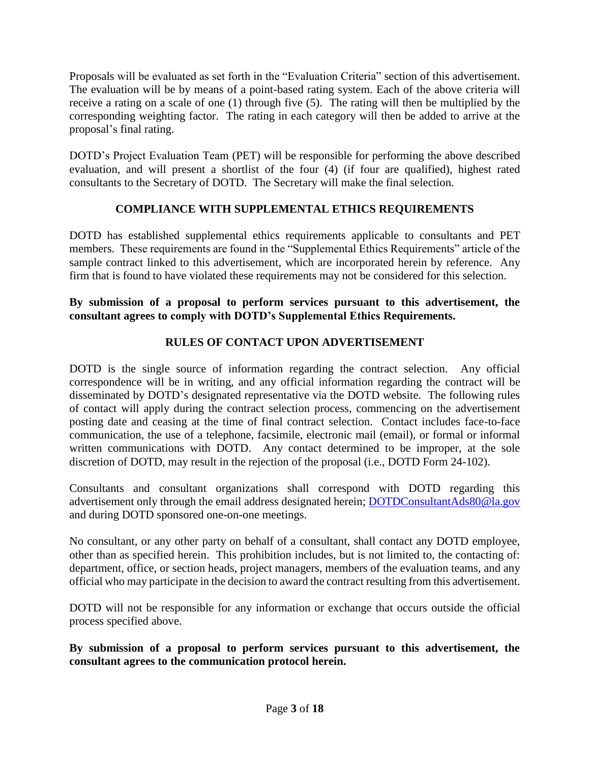Proposals will be evaluated as set forth in the "Evaluation Criteria" section of this advertisement. The evaluation will be by means of a point-based rating system. Each of the above criteria will receive a rating on a scale of one (1) through five (5). The rating will then be multiplied by the corresponding weighting factor. The rating in each category will then be added to arrive at the proposal's final rating.

DOTD's Project Evaluation Team (PET) will be responsible for performing the above described evaluation, and will present a shortlist of the four (4) (if four are qualified), highest rated consultants to the Secretary of DOTD. The Secretary will make the final selection.

# **COMPLIANCE WITH SUPPLEMENTAL ETHICS REQUIREMENTS**

DOTD has established supplemental ethics requirements applicable to consultants and PET members. These requirements are found in the "Supplemental Ethics Requirements" article of the sample contract linked to this advertisement, which are incorporated herein by reference. Any firm that is found to have violated these requirements may not be considered for this selection.

## **By submission of a proposal to perform services pursuant to this advertisement, the consultant agrees to comply with DOTD's Supplemental Ethics Requirements.**

# **RULES OF CONTACT UPON ADVERTISEMENT**

DOTD is the single source of information regarding the contract selection. Any official correspondence will be in writing, and any official information regarding the contract will be disseminated by DOTD's designated representative via the DOTD website. The following rules of contact will apply during the contract selection process, commencing on the advertisement posting date and ceasing at the time of final contract selection. Contact includes face-to-face communication, the use of a telephone, facsimile, electronic mail (email), or formal or informal written communications with DOTD. Any contact determined to be improper, at the sole discretion of DOTD, may result in the rejection of the proposal (i.e., DOTD Form 24-102).

Consultants and consultant organizations shall correspond with DOTD regarding this advertisement only through the email address designated herein; [DOTDConsultantAds80@la.gov](mailto:DOTDConsultantAds80@la.gov) and during DOTD sponsored one-on-one meetings.

No consultant, or any other party on behalf of a consultant, shall contact any DOTD employee, other than as specified herein. This prohibition includes, but is not limited to, the contacting of: department, office, or section heads, project managers, members of the evaluation teams, and any official who may participate in the decision to award the contract resulting from this advertisement.

DOTD will not be responsible for any information or exchange that occurs outside the official process specified above.

**By submission of a proposal to perform services pursuant to this advertisement, the consultant agrees to the communication protocol herein.**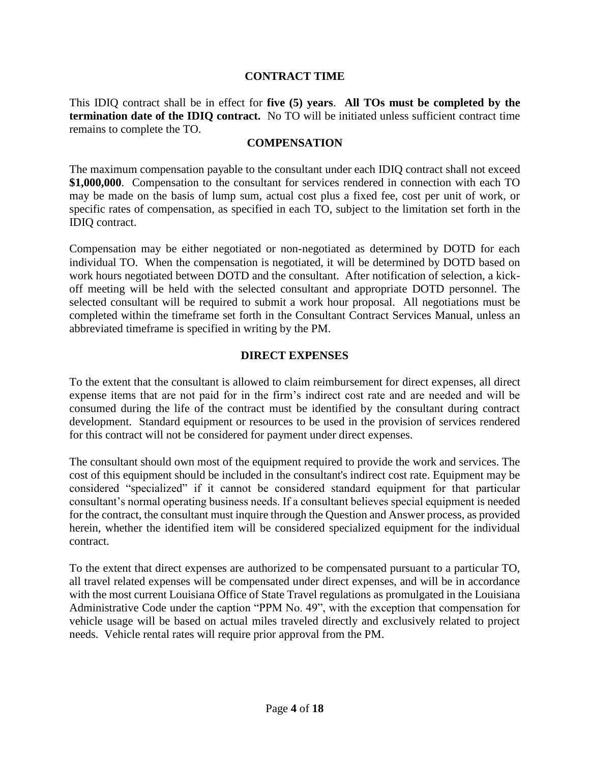### **CONTRACT TIME**

This IDIQ contract shall be in effect for **five (5) years**. **All TOs must be completed by the termination date of the IDIQ contract.** No TO will be initiated unless sufficient contract time remains to complete the TO.

### **COMPENSATION**

The maximum compensation payable to the consultant under each IDIQ contract shall not exceed **\$1,000,000**. Compensation to the consultant for services rendered in connection with each TO may be made on the basis of lump sum, actual cost plus a fixed fee, cost per unit of work, or specific rates of compensation, as specified in each TO, subject to the limitation set forth in the IDIQ contract.

Compensation may be either negotiated or non-negotiated as determined by DOTD for each individual TO. When the compensation is negotiated, it will be determined by DOTD based on work hours negotiated between DOTD and the consultant. After notification of selection, a kickoff meeting will be held with the selected consultant and appropriate DOTD personnel. The selected consultant will be required to submit a work hour proposal. All negotiations must be completed within the timeframe set forth in the Consultant Contract Services Manual, unless an abbreviated timeframe is specified in writing by the PM.

### **DIRECT EXPENSES**

To the extent that the consultant is allowed to claim reimbursement for direct expenses, all direct expense items that are not paid for in the firm's indirect cost rate and are needed and will be consumed during the life of the contract must be identified by the consultant during contract development. Standard equipment or resources to be used in the provision of services rendered for this contract will not be considered for payment under direct expenses.

The consultant should own most of the equipment required to provide the work and services. The cost of this equipment should be included in the consultant's indirect cost rate. Equipment may be considered "specialized" if it cannot be considered standard equipment for that particular consultant's normal operating business needs. If a consultant believes special equipment is needed for the contract, the consultant must inquire through the Question and Answer process, as provided herein, whether the identified item will be considered specialized equipment for the individual contract.

To the extent that direct expenses are authorized to be compensated pursuant to a particular TO, all travel related expenses will be compensated under direct expenses, and will be in accordance with the most current Louisiana Office of State Travel regulations as promulgated in the Louisiana Administrative Code under the caption "PPM No. 49", with the exception that compensation for vehicle usage will be based on actual miles traveled directly and exclusively related to project needs. Vehicle rental rates will require prior approval from the PM.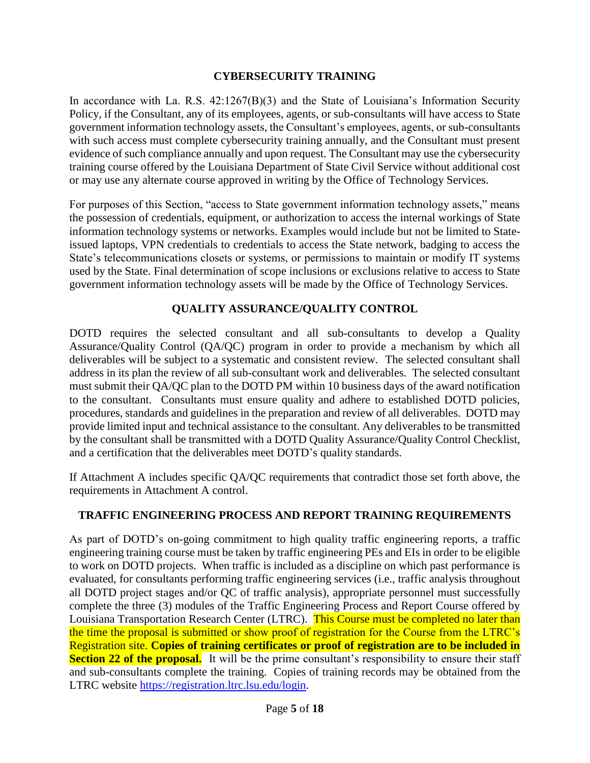## **CYBERSECURITY TRAINING**

In accordance with La. R.S.  $42:1267(B)(3)$  and the State of Louisiana's Information Security Policy, if the Consultant, any of its employees, agents, or sub-consultants will have access to State government information technology assets, the Consultant's employees, agents, or sub-consultants with such access must complete cybersecurity training annually, and the Consultant must present evidence of such compliance annually and upon request. The Consultant may use the cybersecurity training course offered by the Louisiana Department of State Civil Service without additional cost or may use any alternate course approved in writing by the Office of Technology Services.

For purposes of this Section, "access to State government information technology assets," means the possession of credentials, equipment, or authorization to access the internal workings of State information technology systems or networks. Examples would include but not be limited to Stateissued laptops, VPN credentials to credentials to access the State network, badging to access the State's telecommunications closets or systems, or permissions to maintain or modify IT systems used by the State. Final determination of scope inclusions or exclusions relative to access to State government information technology assets will be made by the Office of Technology Services.

## **QUALITY ASSURANCE/QUALITY CONTROL**

DOTD requires the selected consultant and all sub-consultants to develop a Quality Assurance/Quality Control (QA/QC) program in order to provide a mechanism by which all deliverables will be subject to a systematic and consistent review. The selected consultant shall address in its plan the review of all sub-consultant work and deliverables. The selected consultant must submit their QA/QC plan to the DOTD PM within 10 business days of the award notification to the consultant. Consultants must ensure quality and adhere to established DOTD policies, procedures, standards and guidelines in the preparation and review of all deliverables. DOTD may provide limited input and technical assistance to the consultant. Any deliverables to be transmitted by the consultant shall be transmitted with a DOTD Quality Assurance/Quality Control Checklist, and a certification that the deliverables meet DOTD's quality standards.

If Attachment A includes specific QA/QC requirements that contradict those set forth above, the requirements in Attachment A control.

# **TRAFFIC ENGINEERING PROCESS AND REPORT TRAINING REQUIREMENTS**

As part of DOTD's on-going commitment to high quality traffic engineering reports, a traffic engineering training course must be taken by traffic engineering PEs and EIs in order to be eligible to work on DOTD projects. When traffic is included as a discipline on which past performance is evaluated, for consultants performing traffic engineering services (i.e., traffic analysis throughout all DOTD project stages and/or QC of traffic analysis), appropriate personnel must successfully complete the three (3) modules of the Traffic Engineering Process and Report Course offered by Louisiana Transportation Research Center (LTRC). This Course must be completed no later than the time the proposal is submitted or show proof of registration for the Course from the LTRC's Registration site. **Copies of training certificates or proof of registration are to be included in Section 22 of the proposal.** It will be the prime consultant's responsibility to ensure their staff and sub-consultants complete the training. Copies of training records may be obtained from the LTRC website [https://registration.ltrc.lsu.edu/login.](https://registration.ltrc.lsu.edu/login)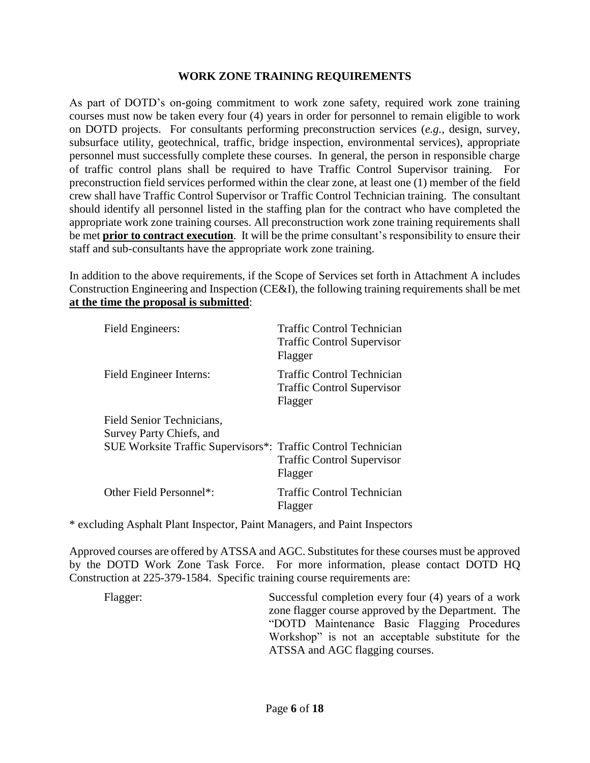### **WORK ZONE TRAINING REQUIREMENTS**

As part of DOTD's on-going commitment to work zone safety, required work zone training courses must now be taken every four (4) years in order for personnel to remain eligible to work on DOTD projects. For consultants performing preconstruction services (*e.g.*, design, survey, subsurface utility, geotechnical, traffic, bridge inspection, environmental services), appropriate personnel must successfully complete these courses. In general, the person in responsible charge of traffic control plans shall be required to have Traffic Control Supervisor training. For preconstruction field services performed within the clear zone, at least one (1) member of the field crew shall have Traffic Control Supervisor or Traffic Control Technician training. The consultant should identify all personnel listed in the staffing plan for the contract who have completed the appropriate work zone training courses. All preconstruction work zone training requirements shall be met **prior to contract execution**. It will be the prime consultant's responsibility to ensure their staff and sub-consultants have the appropriate work zone training.

In addition to the above requirements, if the Scope of Services set forth in Attachment A includes Construction Engineering and Inspection (CE&I), the following training requirements shall be met **at the time the proposal is submitted**:

| Field Engineers:                                              | <b>Traffic Control Technician</b><br><b>Traffic Control Supervisor</b><br>Flagger |
|---------------------------------------------------------------|-----------------------------------------------------------------------------------|
| Field Engineer Interns:                                       | Traffic Control Technician<br><b>Traffic Control Supervisor</b><br>Flagger        |
| Field Senior Technicians,                                     |                                                                                   |
| Survey Party Chiefs, and                                      |                                                                                   |
| SUE Worksite Traffic Supervisors*: Traffic Control Technician | <b>Traffic Control Supervisor</b><br>Flagger                                      |
| Other Field Personnel*:                                       | Traffic Control Technician<br>Flagger                                             |

\* excluding Asphalt Plant Inspector, Paint Managers, and Paint Inspectors

Approved courses are offered by ATSSA and AGC. Substitutes for these courses must be approved by the DOTD Work Zone Task Force. For more information, please contact DOTD HQ Construction at 225-379-1584. Specific training course requirements are:

Flagger: Successful completion every four (4) years of a work zone flagger course approved by the Department. The "DOTD Maintenance Basic Flagging Procedures Workshop" is not an acceptable substitute for the ATSSA and AGC flagging courses.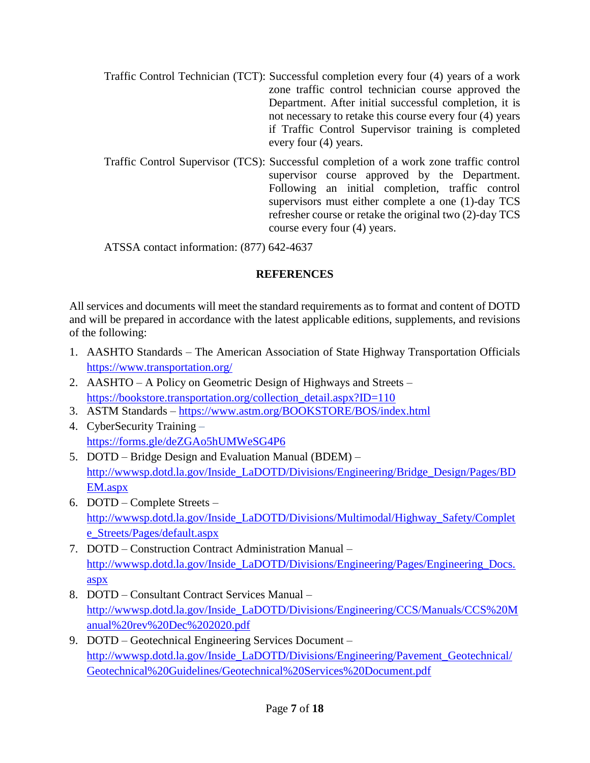- Traffic Control Technician (TCT): Successful completion every four (4) years of a work zone traffic control technician course approved the Department. After initial successful completion, it is not necessary to retake this course every four (4) years if Traffic Control Supervisor training is completed every four (4) years.
- Traffic Control Supervisor (TCS): Successful completion of a work zone traffic control supervisor course approved by the Department. Following an initial completion, traffic control supervisors must either complete a one (1)-day TCS refresher course or retake the original two (2)-day TCS course every four (4) years.

ATSSA contact information: (877) 642-4637

# **REFERENCES**

All services and documents will meet the standard requirements as to format and content of DOTD and will be prepared in accordance with the latest applicable editions, supplements, and revisions of the following:

- 1. AASHTO Standards The American Association of State Highway Transportation Officials <https://www.transportation.org/>
- 2. AASHTO A Policy on Geometric Design of Highways and Streets [https://bookstore.transportation.org/collection\\_detail.aspx?ID=110](https://bookstore.transportation.org/collection_detail.aspx?ID=110)
- 3. ASTM Standards <https://www.astm.org/BOOKSTORE/BOS/index.html>
- 4. CyberSecurity Training <https://forms.gle/deZGAo5hUMWeSG4P6>
- 5. DOTD Bridge Design and Evaluation Manual (BDEM) [http://wwwsp.dotd.la.gov/Inside\\_LaDOTD/Divisions/Engineering/Bridge\\_Design/Pages/BD](http://wwwsp.dotd.la.gov/Inside_LaDOTD/Divisions/Engineering/Bridge_Design/Pages/BDEM.aspx) [EM.aspx](http://wwwsp.dotd.la.gov/Inside_LaDOTD/Divisions/Engineering/Bridge_Design/Pages/BDEM.aspx)
- 6. DOTD Complete Streets [http://wwwsp.dotd.la.gov/Inside\\_LaDOTD/Divisions/Multimodal/Highway\\_Safety/Complet](http://wwwsp.dotd.la.gov/Inside_LaDOTD/Divisions/Multimodal/Highway_Safety/Complete_Streets/Pages/default.aspx) [e\\_Streets/Pages/default.aspx](http://wwwsp.dotd.la.gov/Inside_LaDOTD/Divisions/Multimodal/Highway_Safety/Complete_Streets/Pages/default.aspx)
- 7. DOTD Construction Contract Administration Manual [http://wwwsp.dotd.la.gov/Inside\\_LaDOTD/Divisions/Engineering/Pages/Engineering\\_Docs.](http://wwwsp.dotd.la.gov/Inside_LaDOTD/Divisions/Engineering/Pages/Engineering_Docs.aspx) [aspx](http://wwwsp.dotd.la.gov/Inside_LaDOTD/Divisions/Engineering/Pages/Engineering_Docs.aspx)
- 8. DOTD Consultant Contract Services Manual [http://wwwsp.dotd.la.gov/Inside\\_LaDOTD/Divisions/Engineering/CCS/Manuals/CCS%20M](http://wwwsp.dotd.la.gov/Inside_LaDOTD/Divisions/Engineering/CCS/Manuals/CCS%20Manual%20rev%20Dec%202020.pdf) [anual%20rev%20Dec%202020.pdf](http://wwwsp.dotd.la.gov/Inside_LaDOTD/Divisions/Engineering/CCS/Manuals/CCS%20Manual%20rev%20Dec%202020.pdf)
- 9. DOTD Geotechnical Engineering Services Document [http://wwwsp.dotd.la.gov/Inside\\_LaDOTD/Divisions/Engineering/Pavement\\_Geotechnical/](http://wwwsp.dotd.la.gov/Inside_LaDOTD/Divisions/Engineering/Pavement_Geotechnical/Geotechnical%20Guidelines/Geotechnical%20Services%20Document.pdf) [Geotechnical%20Guidelines/Geotechnical%20Services%20Document.pdf](http://wwwsp.dotd.la.gov/Inside_LaDOTD/Divisions/Engineering/Pavement_Geotechnical/Geotechnical%20Guidelines/Geotechnical%20Services%20Document.pdf)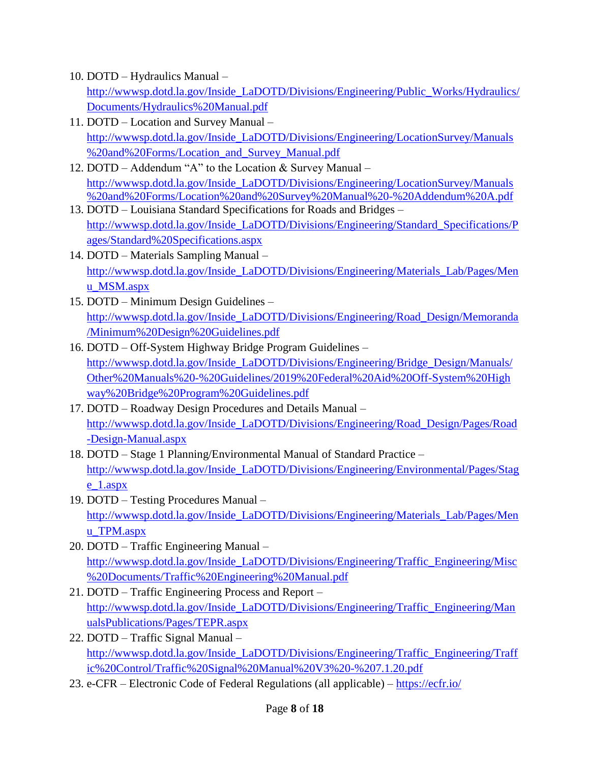- 10. DOTD Hydraulics Manual [http://wwwsp.dotd.la.gov/Inside\\_LaDOTD/Divisions/Engineering/Public\\_Works/Hydraulics/](http://wwwsp.dotd.la.gov/Inside_LaDOTD/Divisions/Engineering/Public_Works/Hydraulics/Documents/Hydraulics%20Manual.pdf) [Documents/Hydraulics%20Manual.pdf](http://wwwsp.dotd.la.gov/Inside_LaDOTD/Divisions/Engineering/Public_Works/Hydraulics/Documents/Hydraulics%20Manual.pdf)
- 11. DOTD Location and Survey Manual [http://wwwsp.dotd.la.gov/Inside\\_LaDOTD/Divisions/Engineering/LocationSurvey/Manuals](http://wwwsp.dotd.la.gov/Inside_LaDOTD/Divisions/Engineering/LocationSurvey/Manuals%20and%20Forms/Location_and_Survey_Manual.pdf) [%20and%20Forms/Location\\_and\\_Survey\\_Manual.pdf](http://wwwsp.dotd.la.gov/Inside_LaDOTD/Divisions/Engineering/LocationSurvey/Manuals%20and%20Forms/Location_and_Survey_Manual.pdf)
- 12. DOTD Addendum "A" to the Location & Survey Manual [http://wwwsp.dotd.la.gov/Inside\\_LaDOTD/Divisions/Engineering/LocationSurvey/Manuals](http://wwwsp.dotd.la.gov/Inside_LaDOTD/Divisions/Engineering/LocationSurvey/Manuals%20and%20Forms/Location%20and%20Survey%20Manual%20-%20Addendum%20A.pdf) [%20and%20Forms/Location%20and%20Survey%20Manual%20-%20Addendum%20A.pdf](http://wwwsp.dotd.la.gov/Inside_LaDOTD/Divisions/Engineering/LocationSurvey/Manuals%20and%20Forms/Location%20and%20Survey%20Manual%20-%20Addendum%20A.pdf)
- 13. DOTD Louisiana Standard Specifications for Roads and Bridges [http://wwwsp.dotd.la.gov/Inside\\_LaDOTD/Divisions/Engineering/Standard\\_Specifications/P](http://wwwsp.dotd.la.gov/Inside_LaDOTD/Divisions/Engineering/Standard_Specifications/Pages/Standard%20Specifications.aspx) [ages/Standard%20Specifications.aspx](http://wwwsp.dotd.la.gov/Inside_LaDOTD/Divisions/Engineering/Standard_Specifications/Pages/Standard%20Specifications.aspx)
- 14. DOTD Materials Sampling Manual [http://wwwsp.dotd.la.gov/Inside\\_LaDOTD/Divisions/Engineering/Materials\\_Lab/Pages/Men](http://wwwsp.dotd.la.gov/Inside_LaDOTD/Divisions/Engineering/Materials_Lab/Pages/Menu_MSM.aspx) [u\\_MSM.aspx](http://wwwsp.dotd.la.gov/Inside_LaDOTD/Divisions/Engineering/Materials_Lab/Pages/Menu_MSM.aspx)
- 15. DOTD Minimum Design Guidelines [http://wwwsp.dotd.la.gov/Inside\\_LaDOTD/Divisions/Engineering/Road\\_Design/Memoranda](http://wwwsp.dotd.la.gov/Inside_LaDOTD/Divisions/Engineering/Road_Design/Memoranda/Minimum%20Design%20Guidelines.pdf) [/Minimum%20Design%20Guidelines.pdf](http://wwwsp.dotd.la.gov/Inside_LaDOTD/Divisions/Engineering/Road_Design/Memoranda/Minimum%20Design%20Guidelines.pdf)
- 16. DOTD Off-System Highway Bridge Program Guidelines [http://wwwsp.dotd.la.gov/Inside\\_LaDOTD/Divisions/Engineering/Bridge\\_Design/Manuals/](http://wwwsp.dotd.la.gov/Inside_LaDOTD/Divisions/Engineering/Bridge_Design/Manuals/Other%20Manuals%20-%20Guidelines/2019%20Federal%20Aid%20Off-System%20Highway%20Bridge%20Program%20Guidelines.pdf) [Other%20Manuals%20-%20Guidelines/2019%20Federal%20Aid%20Off-System%20High](http://wwwsp.dotd.la.gov/Inside_LaDOTD/Divisions/Engineering/Bridge_Design/Manuals/Other%20Manuals%20-%20Guidelines/2019%20Federal%20Aid%20Off-System%20Highway%20Bridge%20Program%20Guidelines.pdf) [way%20Bridge%20Program%20Guidelines.pdf](http://wwwsp.dotd.la.gov/Inside_LaDOTD/Divisions/Engineering/Bridge_Design/Manuals/Other%20Manuals%20-%20Guidelines/2019%20Federal%20Aid%20Off-System%20Highway%20Bridge%20Program%20Guidelines.pdf)
- 17. DOTD Roadway Design Procedures and Details Manual [http://wwwsp.dotd.la.gov/Inside\\_LaDOTD/Divisions/Engineering/Road\\_Design/Pages/Road](http://wwwsp.dotd.la.gov/Inside_LaDOTD/Divisions/Engineering/Road_Design/Pages/Road-Design-Manual.aspx) [-Design-Manual.aspx](http://wwwsp.dotd.la.gov/Inside_LaDOTD/Divisions/Engineering/Road_Design/Pages/Road-Design-Manual.aspx)
- 18. DOTD Stage 1 Planning/Environmental Manual of Standard Practice [http://wwwsp.dotd.la.gov/Inside\\_LaDOTD/Divisions/Engineering/Environmental/Pages/Stag](http://wwwsp.dotd.la.gov/Inside_LaDOTD/Divisions/Engineering/Environmental/Pages/Stage_1.aspx) [e\\_1.aspx](http://wwwsp.dotd.la.gov/Inside_LaDOTD/Divisions/Engineering/Environmental/Pages/Stage_1.aspx)
- 19. DOTD Testing Procedures Manual [http://wwwsp.dotd.la.gov/Inside\\_LaDOTD/Divisions/Engineering/Materials\\_Lab/Pages/Men](http://wwwsp.dotd.la.gov/Inside_LaDOTD/Divisions/Engineering/Materials_Lab/Pages/Menu_TPM.aspx) [u\\_TPM.aspx](http://wwwsp.dotd.la.gov/Inside_LaDOTD/Divisions/Engineering/Materials_Lab/Pages/Menu_TPM.aspx)
- 20. DOTD Traffic Engineering Manual [http://wwwsp.dotd.la.gov/Inside\\_LaDOTD/Divisions/Engineering/Traffic\\_Engineering/Misc](http://wwwsp.dotd.la.gov/Inside_LaDOTD/Divisions/Engineering/Traffic_Engineering/Misc%20Documents/Traffic%20Engineering%20Manual.pdf) [%20Documents/Traffic%20Engineering%20Manual.pdf](http://wwwsp.dotd.la.gov/Inside_LaDOTD/Divisions/Engineering/Traffic_Engineering/Misc%20Documents/Traffic%20Engineering%20Manual.pdf)
- 21. DOTD Traffic Engineering Process and Report [http://wwwsp.dotd.la.gov/Inside\\_LaDOTD/Divisions/Engineering/Traffic\\_Engineering/Man](http://wwwsp.dotd.la.gov/Inside_LaDOTD/Divisions/Engineering/Traffic_Engineering/ManualsPublications/Pages/TEPR.aspx) [ualsPublications/Pages/TEPR.aspx](http://wwwsp.dotd.la.gov/Inside_LaDOTD/Divisions/Engineering/Traffic_Engineering/ManualsPublications/Pages/TEPR.aspx)
- 22. DOTD Traffic Signal Manual [http://wwwsp.dotd.la.gov/Inside\\_LaDOTD/Divisions/Engineering/Traffic\\_Engineering/Traff](http://wwwsp.dotd.la.gov/Inside_LaDOTD/Divisions/Engineering/Traffic_Engineering/Traffic%20Control/Traffic%20Signal%20Manual%20V3%20-%207.1.20.pdf) [ic%20Control/Traffic%20Signal%20Manual%20V3%20-%207.1.20.pdf](http://wwwsp.dotd.la.gov/Inside_LaDOTD/Divisions/Engineering/Traffic_Engineering/Traffic%20Control/Traffic%20Signal%20Manual%20V3%20-%207.1.20.pdf)
- 23. e-CFR Electronic Code of Federal Regulations (all applicable) <https://ecfr.io/>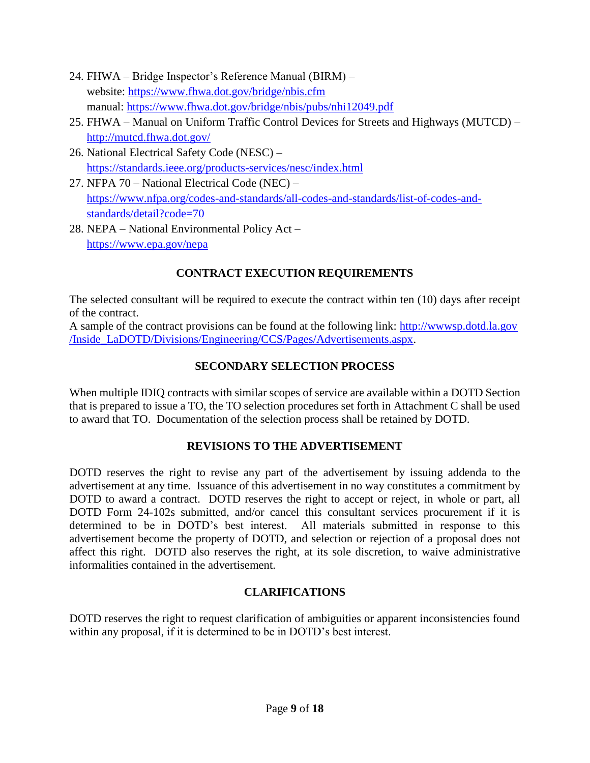- 24. FHWA Bridge Inspector's Reference Manual (BIRM) website:<https://www.fhwa.dot.gov/bridge/nbis.cfm> manual:<https://www.fhwa.dot.gov/bridge/nbis/pubs/nhi12049.pdf>
- 25. FHWA Manual on Uniform Traffic Control Devices for Streets and Highways (MUTCD) <http://mutcd.fhwa.dot.gov/>
- 26. National Electrical Safety Code (NESC) <https://standards.ieee.org/products-services/nesc/index.html>
- 27. NFPA 70 National Electrical Code (NEC) [https://www.nfpa.org/codes-and-standards/all-codes-and-standards/list-of-codes-and](https://www.nfpa.org/codes-and-standards/all-codes-and-standards/list-of-codes-and-standards/detail?code=70)[standards/detail?code=70](https://www.nfpa.org/codes-and-standards/all-codes-and-standards/list-of-codes-and-standards/detail?code=70)
- 28. NEPA National Environmental Policy Act <https://www.epa.gov/nepa>

# **CONTRACT EXECUTION REQUIREMENTS**

The selected consultant will be required to execute the contract within ten (10) days after receipt of the contract.

A sample of the contract provisions can be found at the following link: [http://wwwsp.dotd.la.gov](http://wwwsp.dotd.la.gov/Inside_LaDOTD/Divisions/Engineering/CCS/Pages/Advertisements.aspx) [/Inside\\_LaDOTD/Divisions/Engineering/CCS/Pages/Advertisements.aspx.](http://wwwsp.dotd.la.gov/Inside_LaDOTD/Divisions/Engineering/CCS/Pages/Advertisements.aspx)

# **SECONDARY SELECTION PROCESS**

When multiple IDIQ contracts with similar scopes of service are available within a DOTD Section that is prepared to issue a TO, the TO selection procedures set forth in Attachment C shall be used to award that TO. Documentation of the selection process shall be retained by DOTD.

# **REVISIONS TO THE ADVERTISEMENT**

DOTD reserves the right to revise any part of the advertisement by issuing addenda to the advertisement at any time. Issuance of this advertisement in no way constitutes a commitment by DOTD to award a contract. DOTD reserves the right to accept or reject, in whole or part, all DOTD Form 24-102s submitted, and/or cancel this consultant services procurement if it is determined to be in DOTD's best interest. All materials submitted in response to this advertisement become the property of DOTD, and selection or rejection of a proposal does not affect this right. DOTD also reserves the right, at its sole discretion, to waive administrative informalities contained in the advertisement.

# **CLARIFICATIONS**

DOTD reserves the right to request clarification of ambiguities or apparent inconsistencies found within any proposal, if it is determined to be in DOTD's best interest.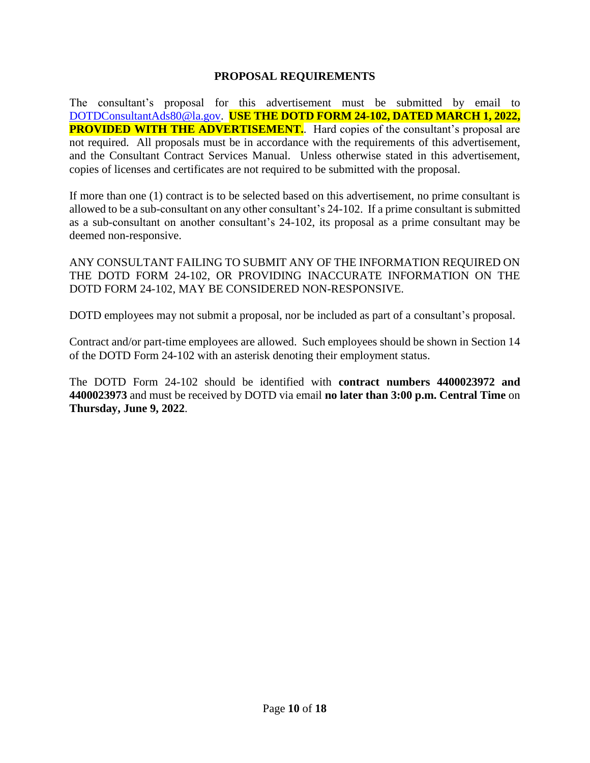### **PROPOSAL REQUIREMENTS**

The consultant's proposal for this advertisement must be submitted by email to [DOTDConsultantAds80@la.gov.](mailto:DOTDConsultantAds80@la.gov) **USE THE DOTD FORM 24-102, DATED MARCH 1, 2022, PROVIDED WITH THE ADVERTISEMENT.** Hard copies of the consultant's proposal are not required. All proposals must be in accordance with the requirements of this advertisement, and the Consultant Contract Services Manual. Unless otherwise stated in this advertisement, copies of licenses and certificates are not required to be submitted with the proposal.

If more than one (1) contract is to be selected based on this advertisement, no prime consultant is allowed to be a sub-consultant on any other consultant's 24-102. If a prime consultant is submitted as a sub-consultant on another consultant's 24-102, its proposal as a prime consultant may be deemed non-responsive.

ANY CONSULTANT FAILING TO SUBMIT ANY OF THE INFORMATION REQUIRED ON THE DOTD FORM 24-102, OR PROVIDING INACCURATE INFORMATION ON THE DOTD FORM 24-102, MAY BE CONSIDERED NON-RESPONSIVE.

DOTD employees may not submit a proposal, nor be included as part of a consultant's proposal.

Contract and/or part-time employees are allowed. Such employees should be shown in Section 14 of the DOTD Form 24-102 with an asterisk denoting their employment status.

The DOTD Form 24-102 should be identified with **contract numbers 4400023972 and 4400023973** and must be received by DOTD via email **no later than 3:00 p.m. Central Time** on **Thursday, June 9, 2022**.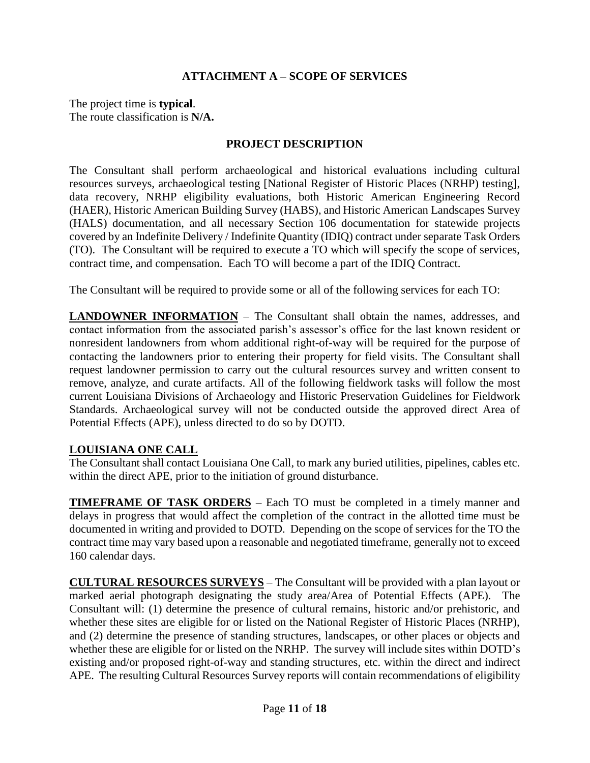# **ATTACHMENT A – SCOPE OF SERVICES**

The project time is **typical**. The route classification is **N/A.**

### **PROJECT DESCRIPTION**

The Consultant shall perform archaeological and historical evaluations including cultural resources surveys, archaeological testing [National Register of Historic Places (NRHP) testing], data recovery, NRHP eligibility evaluations, both Historic American Engineering Record (HAER), Historic American Building Survey (HABS), and Historic American Landscapes Survey (HALS) documentation, and all necessary Section 106 documentation for statewide projects covered by an Indefinite Delivery / Indefinite Quantity (IDIQ) contract under separate Task Orders (TO). The Consultant will be required to execute a TO which will specify the scope of services, contract time, and compensation. Each TO will become a part of the IDIQ Contract.

The Consultant will be required to provide some or all of the following services for each TO:

**LANDOWNER INFORMATION** – The Consultant shall obtain the names, addresses, and contact information from the associated parish's assessor's office for the last known resident or nonresident landowners from whom additional right-of-way will be required for the purpose of contacting the landowners prior to entering their property for field visits. The Consultant shall request landowner permission to carry out the cultural resources survey and written consent to remove, analyze, and curate artifacts. All of the following fieldwork tasks will follow the most current Louisiana Divisions of Archaeology and Historic Preservation Guidelines for Fieldwork Standards. Archaeological survey will not be conducted outside the approved direct Area of Potential Effects (APE), unless directed to do so by DOTD.

### **LOUISIANA ONE CALL**

The Consultant shall contact Louisiana One Call, to mark any buried utilities, pipelines, cables etc. within the direct APE, prior to the initiation of ground disturbance.

**TIMEFRAME OF TASK ORDERS** – Each TO must be completed in a timely manner and delays in progress that would affect the completion of the contract in the allotted time must be documented in writing and provided to DOTD. Depending on the scope of services for the TO the contract time may vary based upon a reasonable and negotiated timeframe, generally not to exceed 160 calendar days.

**CULTURAL RESOURCES SURVEYS** – The Consultant will be provided with a plan layout or marked aerial photograph designating the study area/Area of Potential Effects (APE). The Consultant will: (1) determine the presence of cultural remains, historic and/or prehistoric, and whether these sites are eligible for or listed on the National Register of Historic Places (NRHP), and (2) determine the presence of standing structures, landscapes, or other places or objects and whether these are eligible for or listed on the NRHP. The survey will include sites within DOTD's existing and/or proposed right-of-way and standing structures, etc. within the direct and indirect APE. The resulting Cultural Resources Survey reports will contain recommendations of eligibility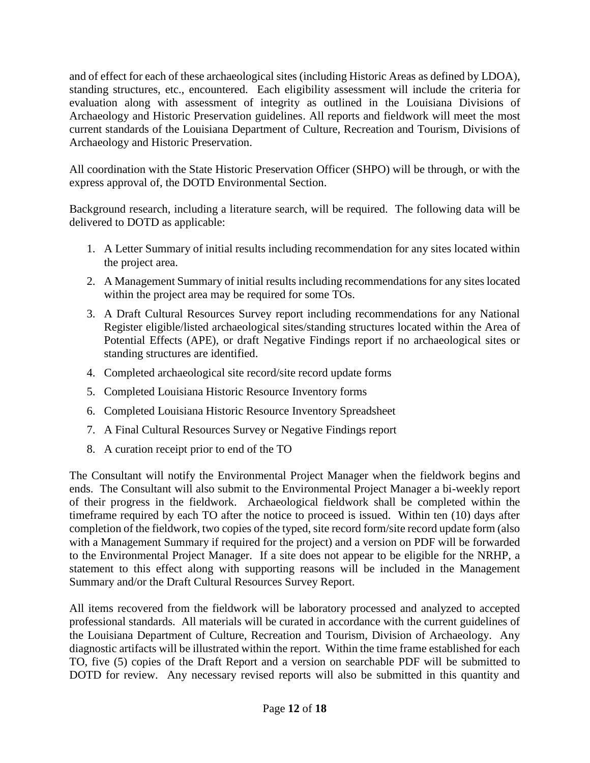and of effect for each of these archaeological sites (including Historic Areas as defined by LDOA), standing structures, etc., encountered. Each eligibility assessment will include the criteria for evaluation along with assessment of integrity as outlined in the Louisiana Divisions of Archaeology and Historic Preservation guidelines. All reports and fieldwork will meet the most current standards of the Louisiana Department of Culture, Recreation and Tourism, Divisions of Archaeology and Historic Preservation.

All coordination with the State Historic Preservation Officer (SHPO) will be through, or with the express approval of, the DOTD Environmental Section.

Background research, including a literature search, will be required. The following data will be delivered to DOTD as applicable:

- 1. A Letter Summary of initial results including recommendation for any sites located within the project area.
- 2. A Management Summary of initial results including recommendations for any sites located within the project area may be required for some TOs.
- 3. A Draft Cultural Resources Survey report including recommendations for any National Register eligible/listed archaeological sites/standing structures located within the Area of Potential Effects (APE), or draft Negative Findings report if no archaeological sites or standing structures are identified.
- 4. Completed archaeological site record/site record update forms
- 5. Completed Louisiana Historic Resource Inventory forms
- 6. Completed Louisiana Historic Resource Inventory Spreadsheet
- 7. A Final Cultural Resources Survey or Negative Findings report
- 8. A curation receipt prior to end of the TO

The Consultant will notify the Environmental Project Manager when the fieldwork begins and ends. The Consultant will also submit to the Environmental Project Manager a bi-weekly report of their progress in the fieldwork. Archaeological fieldwork shall be completed within the timeframe required by each TO after the notice to proceed is issued. Within ten (10) days after completion of the fieldwork, two copies of the typed, site record form/site record update form (also with a Management Summary if required for the project) and a version on PDF will be forwarded to the Environmental Project Manager. If a site does not appear to be eligible for the NRHP, a statement to this effect along with supporting reasons will be included in the Management Summary and/or the Draft Cultural Resources Survey Report.

All items recovered from the fieldwork will be laboratory processed and analyzed to accepted professional standards. All materials will be curated in accordance with the current guidelines of the Louisiana Department of Culture, Recreation and Tourism, Division of Archaeology. Any diagnostic artifacts will be illustrated within the report. Within the time frame established for each TO, five (5) copies of the Draft Report and a version on searchable PDF will be submitted to DOTD for review. Any necessary revised reports will also be submitted in this quantity and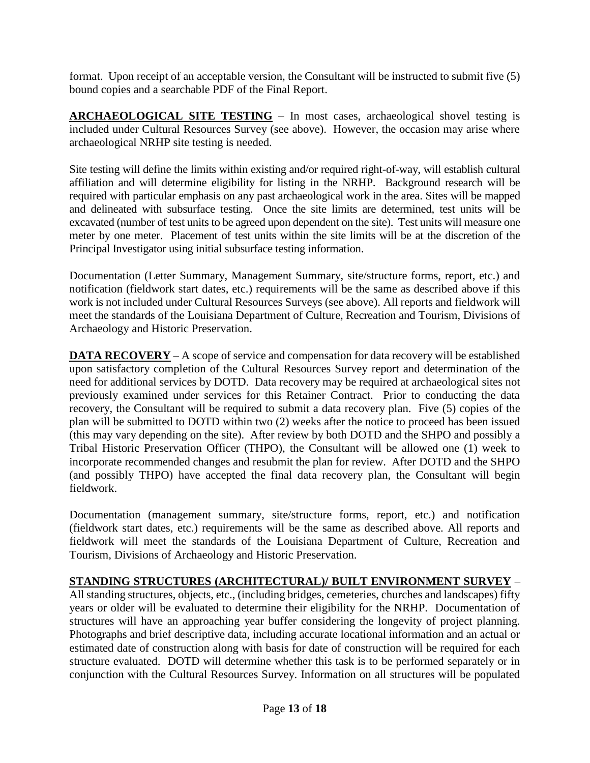format. Upon receipt of an acceptable version, the Consultant will be instructed to submit five (5) bound copies and a searchable PDF of the Final Report.

**ARCHAEOLOGICAL SITE TESTING** – In most cases, archaeological shovel testing is included under Cultural Resources Survey (see above). However, the occasion may arise where archaeological NRHP site testing is needed.

Site testing will define the limits within existing and/or required right-of-way, will establish cultural affiliation and will determine eligibility for listing in the NRHP. Background research will be required with particular emphasis on any past archaeological work in the area. Sites will be mapped and delineated with subsurface testing. Once the site limits are determined, test units will be excavated (number of test units to be agreed upon dependent on the site). Test units will measure one meter by one meter. Placement of test units within the site limits will be at the discretion of the Principal Investigator using initial subsurface testing information.

Documentation (Letter Summary, Management Summary, site/structure forms, report, etc.) and notification (fieldwork start dates, etc.) requirements will be the same as described above if this work is not included under Cultural Resources Surveys (see above). All reports and fieldwork will meet the standards of the Louisiana Department of Culture, Recreation and Tourism, Divisions of Archaeology and Historic Preservation.

**DATA RECOVERY** – A scope of service and compensation for data recovery will be established upon satisfactory completion of the Cultural Resources Survey report and determination of the need for additional services by DOTD. Data recovery may be required at archaeological sites not previously examined under services for this Retainer Contract. Prior to conducting the data recovery, the Consultant will be required to submit a data recovery plan. Five (5) copies of the plan will be submitted to DOTD within two (2) weeks after the notice to proceed has been issued (this may vary depending on the site). After review by both DOTD and the SHPO and possibly a Tribal Historic Preservation Officer (THPO), the Consultant will be allowed one (1) week to incorporate recommended changes and resubmit the plan for review. After DOTD and the SHPO (and possibly THPO) have accepted the final data recovery plan, the Consultant will begin fieldwork.

Documentation (management summary, site/structure forms, report, etc.) and notification (fieldwork start dates, etc.) requirements will be the same as described above. All reports and fieldwork will meet the standards of the Louisiana Department of Culture, Recreation and Tourism, Divisions of Archaeology and Historic Preservation.

# **STANDING STRUCTURES (ARCHITECTURAL)/ BUILT ENVIRONMENT SURVEY** –

All standing structures, objects, etc., (including bridges, cemeteries, churches and landscapes) fifty years or older will be evaluated to determine their eligibility for the NRHP. Documentation of structures will have an approaching year buffer considering the longevity of project planning. Photographs and brief descriptive data, including accurate locational information and an actual or estimated date of construction along with basis for date of construction will be required for each structure evaluated. DOTD will determine whether this task is to be performed separately or in conjunction with the Cultural Resources Survey. Information on all structures will be populated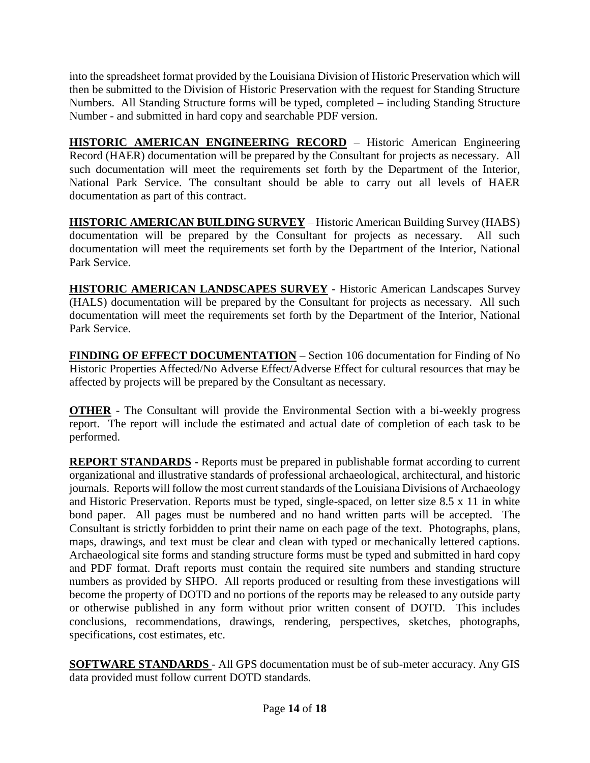into the spreadsheet format provided by the Louisiana Division of Historic Preservation which will then be submitted to the Division of Historic Preservation with the request for Standing Structure Numbers. All Standing Structure forms will be typed, completed – including Standing Structure Number - and submitted in hard copy and searchable PDF version.

**HISTORIC AMERICAN ENGINEERING RECORD** – Historic American Engineering Record (HAER) documentation will be prepared by the Consultant for projects as necessary. All such documentation will meet the requirements set forth by the Department of the Interior, National Park Service. The consultant should be able to carry out all levels of HAER documentation as part of this contract.

**HISTORIC AMERICAN BUILDING SURVEY** – Historic American Building Survey (HABS) documentation will be prepared by the Consultant for projects as necessary. All such documentation will meet the requirements set forth by the Department of the Interior, National Park Service.

**HISTORIC AMERICAN LANDSCAPES SURVEY** - Historic American Landscapes Survey (HALS) documentation will be prepared by the Consultant for projects as necessary. All such documentation will meet the requirements set forth by the Department of the Interior, National Park Service.

**FINDING OF EFFECT DOCUMENTATION** – Section 106 documentation for Finding of No Historic Properties Affected/No Adverse Effect/Adverse Effect for cultural resources that may be affected by projects will be prepared by the Consultant as necessary.

**OTHER** - The Consultant will provide the Environmental Section with a bi-weekly progress report. The report will include the estimated and actual date of completion of each task to be performed.

**REPORT STANDARDS -** Reports must be prepared in publishable format according to current organizational and illustrative standards of professional archaeological, architectural, and historic journals. Reports will follow the most current standards of the Louisiana Divisions of Archaeology and Historic Preservation. Reports must be typed, single-spaced, on letter size 8.5 x 11 in white bond paper. All pages must be numbered and no hand written parts will be accepted. The Consultant is strictly forbidden to print their name on each page of the text. Photographs, plans, maps, drawings, and text must be clear and clean with typed or mechanically lettered captions. Archaeological site forms and standing structure forms must be typed and submitted in hard copy and PDF format. Draft reports must contain the required site numbers and standing structure numbers as provided by SHPO. All reports produced or resulting from these investigations will become the property of DOTD and no portions of the reports may be released to any outside party or otherwise published in any form without prior written consent of DOTD. This includes conclusions, recommendations, drawings, rendering, perspectives, sketches, photographs, specifications, cost estimates, etc.

**SOFTWARE STANDARDS** - All GPS documentation must be of sub-meter accuracy. Any GIS data provided must follow current DOTD standards.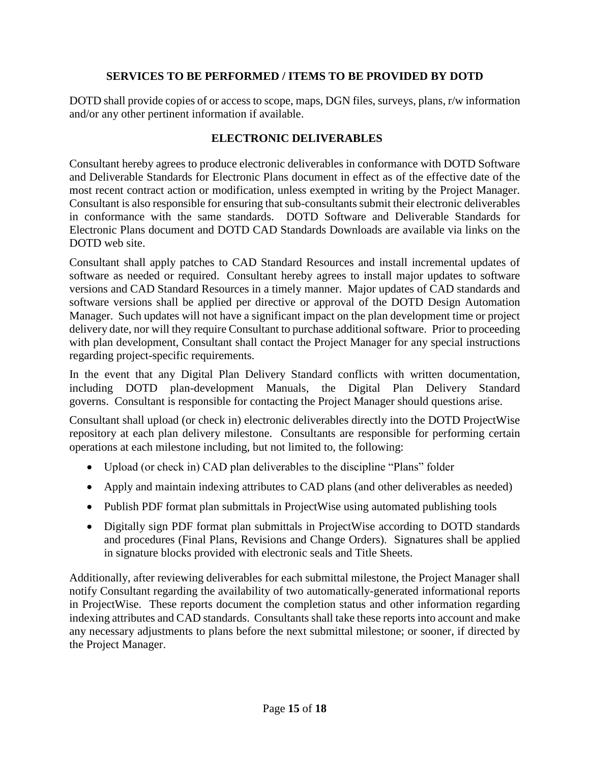## **SERVICES TO BE PERFORMED / ITEMS TO BE PROVIDED BY DOTD**

DOTD shall provide copies of or access to scope, maps, DGN files, surveys, plans, r/w information and/or any other pertinent information if available.

## **ELECTRONIC DELIVERABLES**

Consultant hereby agrees to produce electronic deliverables in conformance with DOTD Software and Deliverable Standards for Electronic Plans document in effect as of the effective date of the most recent contract action or modification, unless exempted in writing by the Project Manager. Consultant is also responsible for ensuring that sub-consultants submit their electronic deliverables in conformance with the same standards. DOTD Software and Deliverable Standards for Electronic Plans document and DOTD CAD Standards Downloads are available via links on the DOTD web site.

Consultant shall apply patches to CAD Standard Resources and install incremental updates of software as needed or required. Consultant hereby agrees to install major updates to software versions and CAD Standard Resources in a timely manner. Major updates of CAD standards and software versions shall be applied per directive or approval of the DOTD Design Automation Manager. Such updates will not have a significant impact on the plan development time or project delivery date, nor will they require Consultant to purchase additional software. Prior to proceeding with plan development, Consultant shall contact the Project Manager for any special instructions regarding project-specific requirements.

In the event that any Digital Plan Delivery Standard conflicts with written documentation, including DOTD plan-development Manuals, the Digital Plan Delivery Standard governs. Consultant is responsible for contacting the Project Manager should questions arise.

Consultant shall upload (or check in) electronic deliverables directly into the DOTD ProjectWise repository at each plan delivery milestone. Consultants are responsible for performing certain operations at each milestone including, but not limited to, the following:

- Upload (or check in) CAD plan deliverables to the discipline "Plans" folder
- Apply and maintain indexing attributes to CAD plans (and other deliverables as needed)
- Publish PDF format plan submittals in ProjectWise using automated publishing tools
- Digitally sign PDF format plan submittals in ProjectWise according to DOTD standards and procedures (Final Plans, Revisions and Change Orders). Signatures shall be applied in signature blocks provided with electronic seals and Title Sheets.

Additionally, after reviewing deliverables for each submittal milestone, the Project Manager shall notify Consultant regarding the availability of two automatically-generated informational reports in ProjectWise. These reports document the completion status and other information regarding indexing attributes and CAD standards. Consultants shall take these reports into account and make any necessary adjustments to plans before the next submittal milestone; or sooner, if directed by the Project Manager.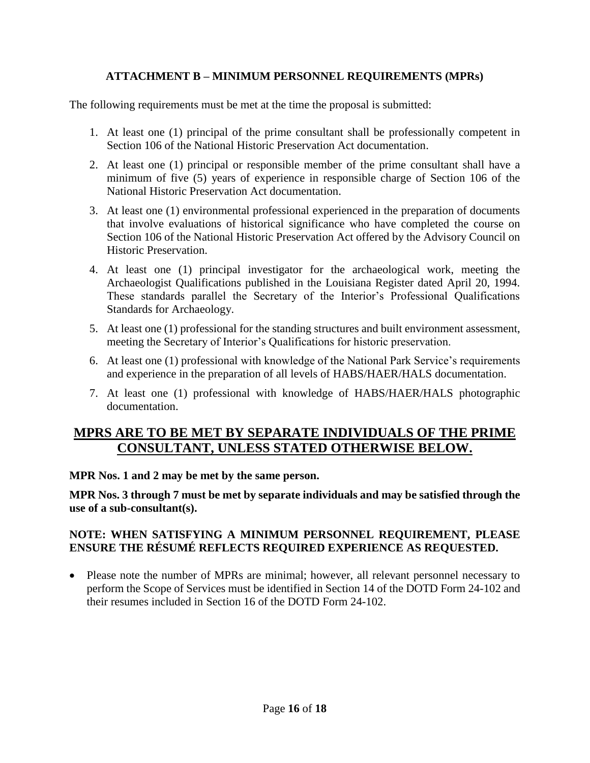# **ATTACHMENT B – MINIMUM PERSONNEL REQUIREMENTS (MPRs)**

The following requirements must be met at the time the proposal is submitted:

- 1. At least one (1) principal of the prime consultant shall be professionally competent in Section 106 of the National Historic Preservation Act documentation.
- 2. At least one (1) principal or responsible member of the prime consultant shall have a minimum of five (5) years of experience in responsible charge of Section 106 of the National Historic Preservation Act documentation.
- 3. At least one (1) environmental professional experienced in the preparation of documents that involve evaluations of historical significance who have completed the course on Section 106 of the National Historic Preservation Act offered by the Advisory Council on Historic Preservation.
- 4. At least one (1) principal investigator for the archaeological work, meeting the Archaeologist Qualifications published in the Louisiana Register dated April 20, 1994. These standards parallel the Secretary of the Interior's Professional Qualifications Standards for Archaeology.
- 5. At least one (1) professional for the standing structures and built environment assessment, meeting the Secretary of Interior's Qualifications for historic preservation.
- 6. At least one (1) professional with knowledge of the National Park Service's requirements and experience in the preparation of all levels of HABS/HAER/HALS documentation.
- 7. At least one (1) professional with knowledge of HABS/HAER/HALS photographic documentation.

# **MPRS ARE TO BE MET BY SEPARATE INDIVIDUALS OF THE PRIME CONSULTANT, UNLESS STATED OTHERWISE BELOW.**

**MPR Nos. 1 and 2 may be met by the same person.**

**MPR Nos. 3 through 7 must be met by separate individuals and may be satisfied through the use of a sub-consultant(s).**

# **NOTE: WHEN SATISFYING A MINIMUM PERSONNEL REQUIREMENT, PLEASE ENSURE THE RÉSUMÉ REFLECTS REQUIRED EXPERIENCE AS REQUESTED.**

• Please note the number of MPRs are minimal; however, all relevant personnel necessary to perform the Scope of Services must be identified in Section 14 of the DOTD Form 24-102 and their resumes included in Section 16 of the DOTD Form 24-102.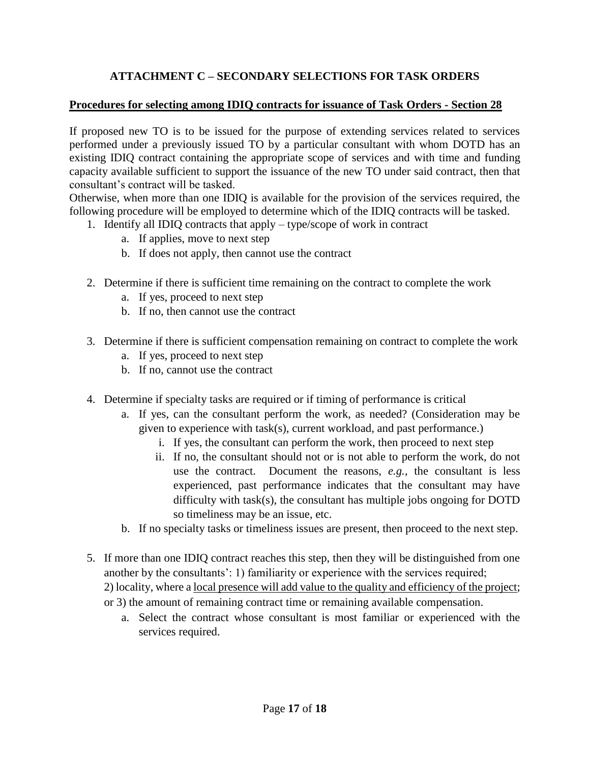# **ATTACHMENT C – SECONDARY SELECTIONS FOR TASK ORDERS**

### **Procedures for selecting among IDIQ contracts for issuance of Task Orders - Section 28**

If proposed new TO is to be issued for the purpose of extending services related to services performed under a previously issued TO by a particular consultant with whom DOTD has an existing IDIQ contract containing the appropriate scope of services and with time and funding capacity available sufficient to support the issuance of the new TO under said contract, then that consultant's contract will be tasked.

Otherwise, when more than one IDIQ is available for the provision of the services required, the following procedure will be employed to determine which of the IDIQ contracts will be tasked.

- 1. Identify all IDIQ contracts that apply type/scope of work in contract
	- a. If applies, move to next step
	- b. If does not apply, then cannot use the contract
- 2. Determine if there is sufficient time remaining on the contract to complete the work
	- a. If yes, proceed to next step
	- b. If no, then cannot use the contract
- 3. Determine if there is sufficient compensation remaining on contract to complete the work
	- a. If yes, proceed to next step
	- b. If no, cannot use the contract
- 4. Determine if specialty tasks are required or if timing of performance is critical
	- a. If yes, can the consultant perform the work, as needed? (Consideration may be given to experience with task(s), current workload, and past performance.)
		- i. If yes, the consultant can perform the work, then proceed to next step
		- ii. If no, the consultant should not or is not able to perform the work, do not use the contract. Document the reasons, *e.g.*, the consultant is less experienced, past performance indicates that the consultant may have difficulty with task(s), the consultant has multiple jobs ongoing for DOTD so timeliness may be an issue, etc.
	- b. If no specialty tasks or timeliness issues are present, then proceed to the next step.
- 5. If more than one IDIQ contract reaches this step, then they will be distinguished from one another by the consultants': 1) familiarity or experience with the services required; 2) locality, where a <u>local presence will add value to the quality and efficiency of the project</u>; or 3) the amount of remaining contract time or remaining available compensation.
	- a. Select the contract whose consultant is most familiar or experienced with the services required.